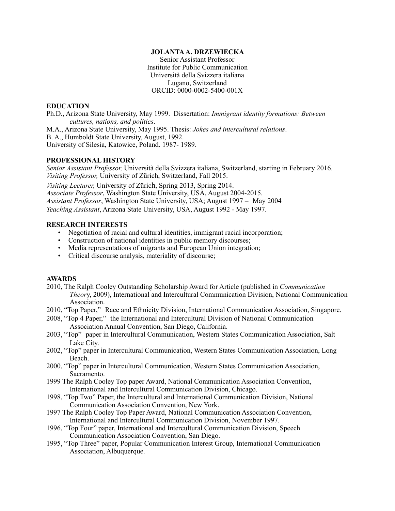## **JOLANTA A. DRZEWIECKA**

Senior Assistant Professor Institute for Public Communication Università della Svizzera italiana Lugano, Switzerland ORCID: 0000-0002-5400-001X

# **EDUCATION**

Ph.D., Arizona State University, May 1999. Dissertation: *Immigrant identity formations: Between cultures, nations, and politics*.

M.A., Arizona State University, May 1995. Thesis: *Jokes and intercultural relations*. B. A., Humboldt State University, August, 1992.

University of Silesia, Katowice, Poland. 1987- 1989.

# **PROFESSIONAL HISTORY**

*Senior Assistant Professor,* Università della Svizzera italiana, Switzerland, starting in February 2016. *Visiting Professor,* University of Zürich, Switzerland, Fall 2015.

*Visiting Lecturer, University of Zürich, Spring 2013, Spring 2014. Associate Professor*, Washington State University, USA, August 2004-2015. *Assistant Professor*, Washington State University, USA; August 1997 – May 2004 *Teaching Assistant*, Arizona State University, USA, August 1992 - May 1997.

## **RESEARCH INTERESTS**

- Negotiation of racial and cultural identities, immigrant racial incorporation;
- Construction of national identities in public memory discourses;
- Media representations of migrants and European Union integration;
- Critical discourse analysis, materiality of discourse;

## **AWARDS**

- 2010, The Ralph Cooley Outstanding Scholarship Award for Article (published in *Communication Theor*y, 2009), International and Intercultural Communication Division, National Communication Association.
- 2010, "Top Paper," Race and Ethnicity Division, International Communication Association, Singapore.
- 2008, "Top 4 Paper," the International and Intercultural Division of National Communication Association Annual Convention, San Diego, California.
- 2003, "Top" paper in Intercultural Communication, Western States Communication Association, Salt Lake City.
- 2002, "Top" paper in Intercultural Communication, Western States Communication Association, Long Beach.
- 2000, "Top" paper in Intercultural Communication, Western States Communication Association, Sacramento.
- 1999 The Ralph Cooley Top paper Award, National Communication Association Convention, International and Intercultural Communication Division, Chicago.
- 1998, "Top Two" Paper, the Intercultural and International Communication Division, National Communication Association Convention, New York.
- 1997 The Ralph Cooley Top Paper Award, National Communication Association Convention, International and Intercultural Communication Division, November 1997.
- 1996, "Top Four" paper, International and Intercultural Communication Division, Speech Communication Association Convention, San Diego.
- 1995, "Top Three" paper, Popular Communication Interest Group, International Communication Association, Albuquerque.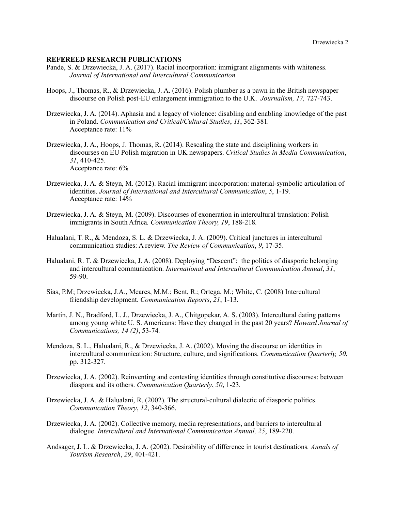### **REFEREED RESEARCH PUBLICATIONS**

- Pande, S. & Drzewiecka, J. A. (2017). Racial incorporation: immigrant alignments with whiteness. *Journal of International and Intercultural Communication.*
- Hoops, J., Thomas, R., & Drzewiecka, J. A. (2016). Polish plumber as a pawn in the British newspaper discourse on Polish post-EU enlargement immigration to the U.K. *Journalism, 17,* 727-743.
- Drzewiecka, J. A. (2014). Aphasia and a legacy of violence: disabling and enabling knowledge of the past in Poland. *Communication and Critical/Cultural Studies*, *11*, 362-381*.* Acceptance rate: 11%
- Drzewiecka, J. A., Hoops, J. Thomas, R. (2014). Rescaling the state and disciplining workers in discourses on EU Polish migration in UK newspapers. *Critical Studies in Media Communication*, *31*, 410-425. Acceptance rate: 6%
- Drzewiecka, J. A. & Steyn, M. (2012). Racial immigrant incorporation: material-symbolic articulation of identities. *Journal of International and Intercultural Communication*, *5*, 1-19*.* Acceptance rate: 14%
- Drzewiecka, J. A. & Steyn, M. (2009). Discourses of exoneration in intercultural translation: Polish immigrants in South Africa*. Communication Theory, 19*, 188-218*.*
- Halualani, T. R., & Mendoza, S. L. & Drzewiecka, J. A. (2009). Critical junctures in intercultural communication studies: A review. *The Review of Communication*, *9*, 17-35.
- Halualani, R. T. & Drzewiecka, J. A. (2008). Deploying "Descent": the politics of diasporic belonging and intercultural communication. *International and Intercultural Communication Annual*, *31*, 59-90.
- Sias, P.M; Drzewiecka, J.A., Meares, M.M.; Bent, R.; Ortega, M.; White, C. (2008) Intercultural friendship development. *Communication Reports*, *21*, 1-13.
- Martin, J. N., Bradford, L. J., Drzewiecka, J. A., Chitgopekar, A. S. (2003). Intercultural dating patterns among young white U. S. Americans: Have they changed in the past 20 years? *Howard Journal of Communications, 14 (2)*, 53-74*.*
- Mendoza, S. L., Halualani, R., & Drzewiecka, J. A. (2002). Moving the discourse on identities in intercultural communication: Structure, culture, and significations. *Communication Quarterly, 50*, pp. 312-327.
- Drzewiecka, J. A. (2002). Reinventing and contesting identities through constitutive discourses: between diaspora and its others. *Communication Quarterly*, *50*, 1-23*.*
- Drzewiecka, J. A. & Halualani, R. (2002). The structural-cultural dialectic of diasporic politics. *Communication Theory*, *12*, 340-366.
- Drzewiecka, J. A. (2002). Collective memory, media representations, and barriers to intercultural dialogue. *Intercultural and International Communication Annual, 25*, 189-220.
- Andsager, J. L. & Drzewiecka, J. A. (2002). Desirability of difference in tourist destinations*. Annals of Tourism Research*, *29*, 401-421.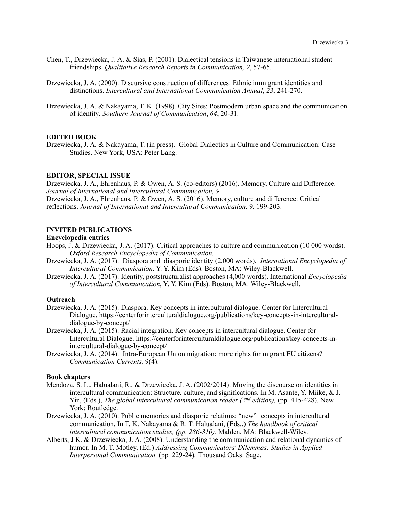- Chen, T., Drzewiecka, J. A. & Sias, P. (2001). Dialectical tensions in Taiwanese international student friendships. *Qualitative Research Reports in Communication, 2*, 57-65.
- Drzewiecka, J. A. (2000). Discursive construction of differences: Ethnic immigrant identities and distinctions. *Intercultural and International Communication Annual*, *23*, 241-270.
- Drzewiecka, J. A. & Nakayama, T. K. (1998). City Sites: Postmodern urban space and the communication of identity*. Southern Journal of Communication*, *64*, 20-31.

#### **EDITED BOOK**

Drzewiecka, J. A. & Nakayama, T. (in press). Global Dialectics in Culture and Communication: Case Studies. New York, USA: Peter Lang.

#### **EDITOR, SPECIAL ISSUE**

Drzewiecka, J. A., Ehrenhaus, P. & Owen, A. S. (co-editors) (2016). Memory, Culture and Difference. *Journal of International and Intercultural Communication, 9.*

Drzewiecka, J. A., Ehrenhaus, P. & Owen, A. S. (2016). Memory, culture and difference: Critical reflections. *Journal of International and Intercultural Communication*, 9, 199-203.

### **INVITED PUBLICATIONS**

# **Encyclopedia entries**

- Hoops, J. & Drzewiecka, J. A. (2017). Critical approaches to culture and communication (10 000 words). *Oxford Research Encyclopedia of Communication.*
- Drzewiecka, J. A. (2017). Diaspora and diasporic identity (2,000 words). *International Encyclopedia of Intercultural Communication*, Y. Y. Kim (Eds). Boston, MA: Wiley-Blackwell.
- Drzewiecka, J. A. (2017). Identity, poststructuralist approaches (4,000 words). International *Encyclopedia of Intercultural Communication*, Y. Y. Kim (Eds). Boston, MA: Wiley-Blackwell.

#### **Outreach**

- Drzewiecka, J. A. (2015). Diaspora. Key concepts in intercultural dialogue. Center for Intercultural Dialogue. https://centerforinterculturaldialogue.org/publications/key-concepts-in-interculturaldialogue-by-concept/
- Drzewiecka, J. A. (2015). Racial integration. Key concepts in intercultural dialogue. Center for Intercultural Dialogue. https://centerforinterculturaldialogue.org/publications/key-concepts-inintercultural-dialogue-by-concept/
- Drzewiecka, J. A. (2014). Intra-European Union migration: more rights for migrant EU citizens? *Communication Currents,* 9(4).

### **Book chapters**

- Mendoza, S. L., Halualani, R., & Drzewiecka, J. A. (2002/2014). Moving the discourse on identities in intercultural communication: Structure, culture, and significations. In M. Asante, Y. Miike, & J. Yin, (Eds.), *The global intercultural communication reader (2<sup>nd</sup> edition)*, (pp. 415-428). New York: Routledge.
- Drzewiecka, J. A. (2010). Public memories and diasporic relations: "new" concepts in intercultural communication. In T. K. Nakayama & R. T. Halualani, (Eds.,) *The handbook of critical intercultural communication studies, (pp. 286-310)*. Malden, MA: Blackwell-Wiley.
- Alberts, J K. & Drzewiecka, J. A. (2008). Understanding the communication and relational dynamics of humor. In M. T. Motley, (Ed.) *Addressing Communicators' Dilemmas: Studies in Applied Interpersonal Communication,* (pp*.* 229-24)*.* Thousand Oaks: Sage.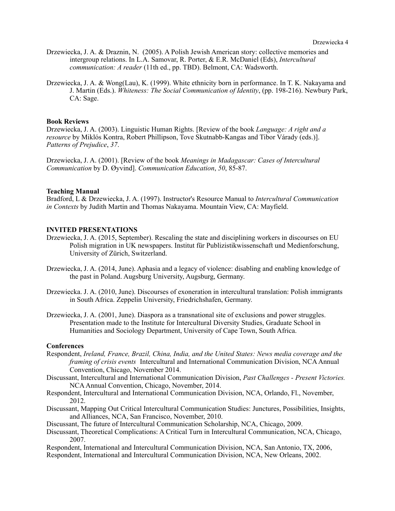- Drzewiecka, J. A. & Draznin, N. (2005). A Polish Jewish American story: collective memories and intergroup relations. In L.A. Samovar, R. Porter, & E.R. McDaniel (Eds), *Intercultural communication: A reader* (11th ed., pp. TBD). Belmont, CA: Wadsworth.
- Drzewiecka, J. A. & Wong(Lau), K. (1999). White ethnicity born in performance. In T. K. Nakayama and J. Martin (Eds.). *Whiteness: The Social Communication of Identity*, (pp. 198-216). Newbury Park, CA: Sage.

### **Book Reviews**

Drzewiecka, J. A. (2003). Linguistic Human Rights. [Review of the book *Language: A right and a resource* by Miklós Kontra, Robert Phillipson, Tove Skutnabb-Kangas and Tibor Várady (eds.)]. *Patterns of Prejudice*, *37*.

Drzewiecka, J. A. (2001). [Review of the book *Meanings in Madagascar: Cases of Intercultural Communication* by D. Øyvind]. *Communication Education*, *50*, 85-87.

### **Teaching Manual**

Bradford, L & Drzewiecka, J. A. (1997). Instructor's Resource Manual to *Intercultural Communication in Contexts* by Judith Martin and Thomas Nakayama. Mountain View, CA: Mayfield.

#### **INVITED PRESENTATIONS**

- Drzewiecka, J. A. (2015, September). Rescaling the state and disciplining workers in discourses on EU Polish migration in UK newspapers. Institut für Publizistikwissenschaft und Medienforschung, University of Zürich, Switzerland.
- Drzewiecka, J. A. (2014, June). Aphasia and a legacy of violence: disabling and enabling knowledge of the past in Poland. Augsburg University, Augsburg, Germany.
- Drzewiecka. J. A. (2010, June). Discourses of exoneration in intercultural translation: Polish immigrants in South Africa. Zeppelin University, Friedrichshafen, Germany.
- Drzewiecka, J. A. (2001, June). Diaspora as a transnational site of exclusions and power struggles. Presentation made to the Institute for Intercultural Diversity Studies, Graduate School in Humanities and Sociology Department, University of Cape Town, South Africa.

#### **Conferences**

- Respondent, *Ireland, France, Brazil, China, India, and the United States: News media coverage and the framing of crisis events* Intercultural and International Communication Division, NCA Annual Convention, Chicago, November 2014.
- Discussant, Intercultural and International Communication Division, *Past Challenges Present Victories.* NCA Annual Convention, Chicago, November, 2014.
- Respondent, Intercultural and International Communication Division, NCA, Orlando, Fl., November, 2012.
- Discussant, Mapping Out Critical Intercultural Communication Studies: Junctures, Possibilities, Insights, and Alliances, NCA, San Francisco, November, 2010.
- Discussant, The future of Intercultural Communication Scholarship, NCA, Chicago, 2009.
- Discussant, Theoretical Complications: A Critical Turn in Intercultural Communication, NCA, Chicago, 2007.

Respondent, International and Intercultural Communication Division, NCA, San Antonio, TX, 2006, Respondent, International and Intercultural Communication Division, NCA, New Orleans, 2002.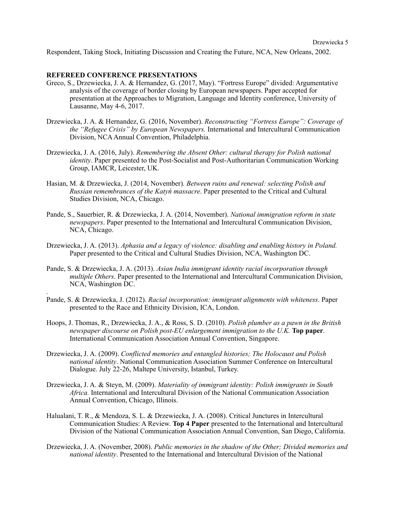Respondent, Taking Stock, Initiating Discussion and Creating the Future, NCA, New Orleans, 2002.

## **REFEREED CONFERENCE PRESENTATIONS**

*.*

- Greco, S., Drzewiecka, J. A. & Hernandez, G. (2017, May). "Fortress Europe" divided: Argumentative analysis of the coverage of border closing by European newspapers. Paper accepted for presentation at the Approaches to Migration, Language and Identity conference, University of Lausanne, May 4-6, 2017.
- Drzewiecka, J. A. & Hernandez, G. (2016, November). *Reconstructing "Fortress Europe": Coverage of the "Refugee Crisis" by European Newspapers.* International and Intercultural Communication Division, NCA Annual Convention, Philadelphia.
- Drzewiecka, J. A. (2016, July). *Remembering the Absent Other: cultural therapy for Polish national identity*. Paper presented to the Post-Socialist and Post-Authoritarian Communication Working Group, IAMCR, Leicester, UK.
- Hasian, M. & Drzewiecka, J. (2014, November)*. Between ruins and renewal: selecting Polish and Russian remembrances of the Katyń massacre*. Paper presented to the Critical and Cultural Studies Division, NCA, Chicago.
- Pande, S., Sauerbier, R. & Drzewiecka, J. A. (2014, November). *National immigration reform in state newspapers*. Paper presented to the International and Intercultural Communication Division, NCA, Chicago.
- Drzewiecka, J. A. (2013). *Aphasia and a legacy of violence: disabling and enabling history in Poland.* Paper presented to the Critical and Cultural Studies Division, NCA, Washington DC.
- Pande, S. & Drzewiecka, J. A. (2013). *Asian India immigrant identity racial incorporation through multiple Others*. Paper presented to the International and Intercultural Communication Division, NCA, Washington DC.
- Pande, S. & Drzewiecka, J. (2012). *Racial incorporation: immigrant alignments with whiteness*. Paper presented to the Race and Ethnicity Division, ICA, London.
- Hoops, J. Thomas, R., Drzewiecka, J. A., & Ross, S. D. (2010). *Polish plumber as a pawn in the British newspaper discourse on Polish post-EU enlargement immigration to the U.K.* **Top paper**. International Communication Association Annual Convention, Singapore.
- Drzewiecka, J. A. (2009). *Conflicted memories and entangled histories; The Holocaust and Polish national identity*. National Communication Association Summer Conference on Intercultural Dialogue. July 22-26, Maltepe University, Istanbul, Turkey.
- Drzewiecka, J. A. & Steyn, M. (2009). *Materiality of immigrant identity: Polish immigrants in South Africa.* International and Intercultural Division of the National Communication Association Annual Convention, Chicago, Illinois.
- Halualani, T. R., & Mendoza, S. L. & Drzewiecka, J. A. (2008). Critical Junctures in Intercultural Communication Studies: A Review. **Top 4 Paper** presented to the International and Intercultural Division of the National Communication Association Annual Convention, San Diego, California.
- Drzewiecka, J. A. (November, 2008). *Public memories in the shadow of the Other; Divided memories and national identity*. Presented to the International and Intercultural Division of the National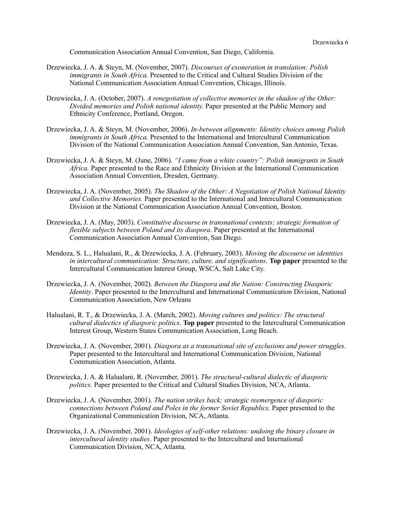Communication Association Annual Convention, San Diego, California.

- Drzewiecka, J. A. & Steyn, M. (November, 2007). *Discourses of exoneration in translation: Polish immigrants in South Africa.* Presented to the Critical and Cultural Studies Division of the National Communication Association Annual Convention, Chicago, Illinois.
- Drzewiecka, J. A. (October, 2007). *A renegotiation of collective memories in the shadow of the Other: Divided memories and Polish national identity.* Paper presented at the Public Memory and Ethnicity Conference, Portland, Oregon.
- Drzewiecka, J. A. & Steyn, M. (November, 2006). *In-between alignments: Identity choices among Polish immigrants in South Africa.* Presented to the International and Intercultural Communication Division of the National Communication Association Annual Convention, San Antonio, Texas.
- Drzewiecka, J. A. & Steyn, M. (June, 2006). *"I came from a white country": Polish immigrants in South Africa.* Paper presented to the Race and Ethnicity Division at the International Communication Association Annual Convention, Dresden, Germany.
- Drzewiecka, J. A. (November, 2005). *The Shadow of the Other: A Negotiation of Polish National Identity and Collective Memories.* Paper presented to the International and Intercultural Communication Division at the National Communication Association Annual Convention, Boston.
- Drzewiecka, J. A. (May, 2003). *Constitutive discourse in transnational contexts; strategic formation of flexible subjects between Poland and its diaspora*. Paper presented at the International Communication Association Annual Convention, San Diego.
- Mendoza, S. L., Halualani, R., & Drzewiecka, J. A. (February, 2003). *Moving the discourse on identities in intercultural communication: Structure, culture, and significations*. **Top paper** presented to the Intercultural Communication Interest Group, WSCA, Salt Lake City.
- Drzewiecka, J. A. (November, 2002). *Between the Diaspora and the Nation: Constructing Diasporic Identity*. Paper presented to the Intercultural and International Communication Division, National Communication Association, New Orleans
- Halualani, R. T., & Drzewiecka, J. A. (March, 2002). *Moving cultures and politics: The structural cultural dialectics of diasporic politics*. **Top paper** presented to the Intercultural Communication Interest Group, Western States Communication Association, Long Beach.
- Drzewiecka, J. A. (November, 2001). *Diaspora as a transnational site of exclusions and power struggles*. Paper presented to the Intercultural and International Communication Division, National Communication Association, Atlanta.
- Drzewiecka, J. A. & Halualani, R. (November, 2001). *The structural-cultural dialectic of diasporic politics*. Paper presented to the Critical and Cultural Studies Division, NCA, Atlanta.
- Drzewiecka, J. A. (November, 2001). *The nation strikes back; strategic reemergence of diasporic connections between Poland and Poles in the former Soviet Republics*. Paper presented to the Organizational Communication Division, NCA, Atlanta.
- Drzewiecka, J. A. (November, 2001). *Ideologies of self-other relations: undoing the binary closure in intercultural identity studies*. Paper presented to the Intercultural and International Communication Division, NCA, Atlanta.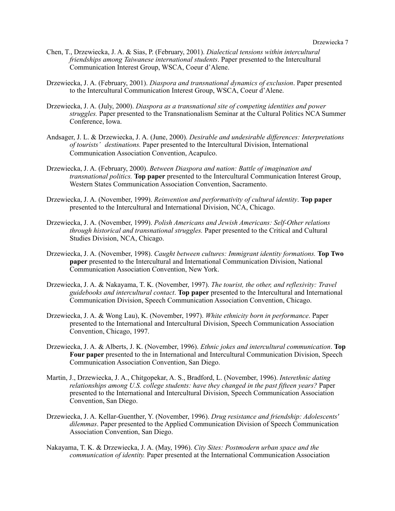- Chen, T., Drzewiecka, J. A. & Sias, P. (February, 2001). *Dialectical tensions within intercultural friendships among Taiwanese international students*. Paper presented to the Intercultural Communication Interest Group, WSCA, Coeur d'Alene.
- Drzewiecka, J. A. (February, 2001). *Diaspora and transnational dynamics of exclusion*. Paper presented to the Intercultural Communication Interest Group, WSCA, Coeur d'Alene.
- Drzewiecka, J. A. (July, 2000). *Diaspora as a transnational site of competing identities and power struggles.* Paper presented to the Transnationalism Seminar at the Cultural Politics NCA Summer Conference, Iowa.
- Andsager, J. L. & Drzewiecka, J. A. (June, 2000). *Desirable and undesirable differences: Interpretations of tourists' destinations.* Paper presented to the Intercultural Division, International Communication Association Convention, Acapulco.
- Drzewiecka, J. A. (February, 2000). *Between Diaspora and nation: Battle of imagination and transnational politics.* **Top paper** presented to the Intercultural Communication Interest Group, Western States Communication Association Convention, Sacramento.
- Drzewiecka, J. A. (November, 1999). *Reinvention and performativity of cultural identity*. **Top paper** presented to the Intercultural and International Division, NCA, Chicago.
- Drzewiecka, J. A. (November, 1999). *Polish Americans and Jewish Americans: Self-Other relations through historical and transnational struggles.* Paper presented to the Critical and Cultural Studies Division, NCA, Chicago.
- Drzewiecka, J. A. (November, 1998). *Caught between cultures: Immigrant identity formations.* **Top Two paper** presented to the Intercultural and International Communication Division, National Communication Association Convention, New York.
- Drzewiecka, J. A. & Nakayama, T. K. (November, 1997). *The tourist, the other, and reflexivity: Travel guidebooks and intercultural contact*. **Top paper** presented to the Intercultural and International Communication Division, Speech Communication Association Convention, Chicago.
- Drzewiecka, J. A. & Wong Lau), K. (November, 1997). *White ethnicity born in performance*. Paper presented to the International and Intercultural Division, Speech Communication Association Convention, Chicago, 1997.
- Drzewiecka, J. A. & Alberts, J. K. (November, 1996). *Ethnic jokes and intercultural communication*. **Top Four paper** presented to the in International and Intercultural Communication Division, Speech Communication Association Convention, San Diego.
- Martin, J., Drzewiecka, J. A., Chitgopekar, A. S., Bradford, L. (November, 1996). *Interethnic dating relationships among U.S. college students: have they changed in the past fifteen years?* Paper presented to the International and Intercultural Division, Speech Communication Association Convention, San Diego.
- Drzewiecka, J. A. Kellar-Guenther, Y. (November, 1996). *Drug resistance and friendship: Adolescents' dilemmas*. Paper presented to the Applied Communication Division of Speech Communication Association Convention, San Diego.
- Nakayama, T. K. & Drzewiecka, J. A. (May, 1996). *City Sites: Postmodern urban space and the communication of identity.* Paper presented at the International Communication Association